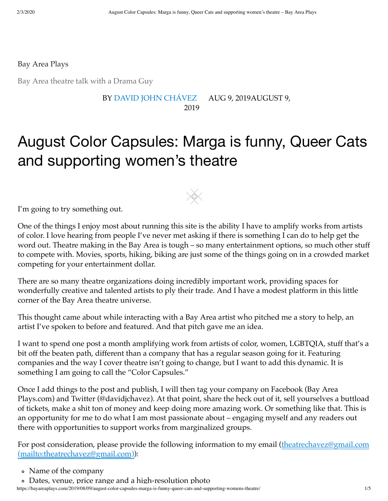<span id="page-0-0"></span>[Bay Area Plays](https://bayareaplays.com/)

Bay Area theatre talk with a Drama Guy

#### BY [DAVID JOHN CHÁVEZ](https://bayareaplays.com/author/davidjchavez04/) [AUG 9, 2019AUGUST 9,](https://bayareaplays.com/2019/08/09/august-color-capsules-marga-is-funny-queer-cats-and-supporting-womens-theatre/) 2019

# August Color Capsules: Marga is funny, Queer Cats and supporting women's theatre

I'm going to try something out.

One of the things I enjoy most about running this site is the ability I have to amplify works from artists of color. I love hearing from people I've never met asking if there is something I can do to help get the word out. Theatre making in the Bay Area is tough – so many entertainment options, so much other stuff to compete with. Movies, sports, hiking, biking are just some of the things going on in a crowded market competing for your entertainment dollar.

There are so many theatre organizations doing incredibly important work, providing spaces for wonderfully creative and talented artists to ply their trade. And I have a modest platform in this little corner of the Bay Area theatre universe.

This thought came about while interacting with a Bay Area artist who pitched me a story to help, an artist I've spoken to before and featured. And that pitch gave me an idea.

I want to spend one post a month amplifying work from artists of color, women, LGBTQIA, stuff that's a bit off the beaten path, different than a company that has a regular season going for it. Featuring companies and the way I cover theatre isn't going to change, but I want to add this dynamic. It is something I am going to call the "Color Capsules."

Once I add things to the post and publish, I will then tag your company on Facebook (Bay Area Plays.com) and Twitter (@davidjchavez). At that point, share the heck out of it, sell yourselves a buttload of tickets, make a shit ton of money and keep doing more amazing work. Or something like that. This is an opportunity for me to do what I am most passionate about – engaging myself and any readers out there with opportunities to support works from marginalized groups.

[For post consideration, please provide the following information to my email \(theatrechavez@gmail.com](mailto:theatrechavez@gmail.com) (mailto:theatrechavez@gmail.com)):

https://bayareaplays.com/2019/08/09/august-color-capsules-marga-is-funny-queer-cats-and-supporting-womens-theatre/ 1/5 Dates, venue, price range and a high-resolution photo

Name of the company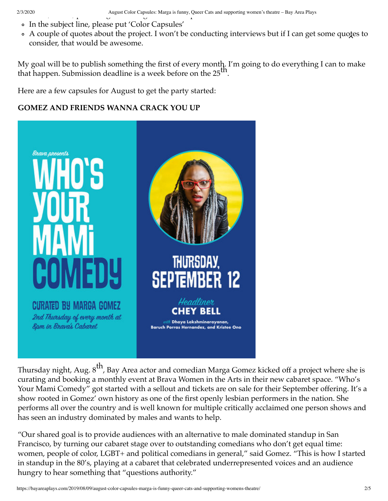- In the subject line, please put 'Color Capsules'
- A couple of [quotes](#page-0-0) about the project. I won't be conducting interviews but if I can get some quotes to consider, that would be awesome.

My goal will be to publish something the first of every month. I'm going to do everything I can to make that happen. Submission deadline is a week before on the  $25<sup>th</sup>$ .

Here are a few capsules for August to get the party started:

### **GOMEZ AND FRIENDS WANNA CRACK YOU UP**



Thursday night, Aug. 8<sup>th</sup>, Bay Area actor and comedian Marga Gomez kicked off a project where she is curating and booking a monthly event at Brava Women in the Arts in their new cabaret space. "Who's Your Mami Comedy" got started with a sellout and tickets are on sale for their September offering. It's a show rooted in Gomez' own history as one of the first openly lesbian performers in the nation. She performs all over the country and is well known for multiple critically acclaimed one person shows and has seen an industry dominated by males and wants to help.

"Our shared goal is to provide audiences with an alternative to male dominated standup in San Francisco, by turning our cabaret stage over to outstanding comedians who don't get equal time: women, people of color, LGBT+ and political comedians in general," said Gomez. "This is how I started in standup in the 80's, playing at a cabaret that celebrated underrepresented voices and an audience hungry to hear something that "questions authority."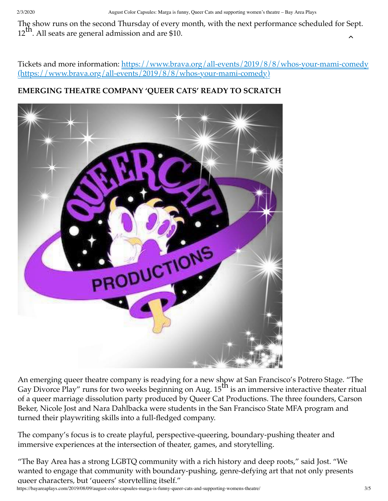The show runs on the second Thursday of every month, with the next performance scheduled for Sept.  $12^{\text{th}}$ . All seats are general admission and are \$10.

[Tickets and more information: https://www.brava.org/all-events/2019/8/8/whos-your-mami-comedy](https://www.brava.org/all-events/2019/8/8/whos-your-mami-comedy) (https://www.brava.org/all-events/2019/8/8/whos-your-mami-comedy)

## **EMERGING THEATRE COMPANY 'QUEER CATS' READY TO SCRATCH**



An emerging queer theatre company is readying for a new show at San Francisco's Potrero Stage. "The Gay Divorce Play" runs for two weeks beginning on Aug.  $15^{\text{th}}$  is an immersive interactive theater ritual of a queer marriage dissolution party produced by Queer Cat Productions. The three founders, Carson Beker, Nicole Jost and Nara Dahlbacka were students in the San Francisco State MFA program and turned their playwriting skills into a full-fledged company.

The company's focus is to create playful, perspective-queering, boundary-pushing theater and immersive experiences at the intersection of theater, games, and storytelling.

"The Bay Area has a strong LGBTQ community with a rich history and deep roots," said Jost. "We wanted to engage that community with boundary-pushing, genre-defying art that not only presents queer characters, but 'queers' storytelling itself."

https://bayareaplays.com/2019/08/09/august-color-capsules-marga-is-funny-queer-cats-and-supporting-womens-theatre/ 3/5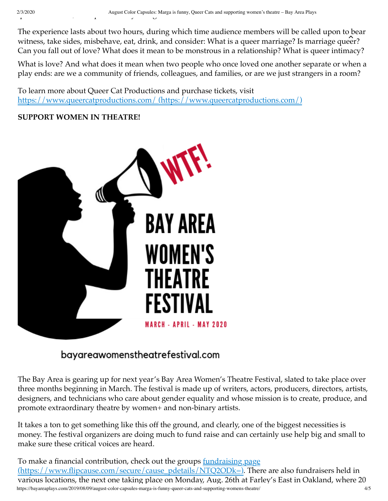The experience lasts about two hours, during which time audience members will be called upon to bear witness, take sides, misbehave, eat, drink, and consider: What is a queer marriage? Is marriage [queer?](#page-0-0) Can you fall out of love? What does it mean to be monstrous in a relationship? What is queer intimacy?

What is love? And what does it mean when two people who once loved one another separate or when a play ends: are we a community of friends, colleagues, and families, or are we just strangers in a room?

To learn more about Queer Cat Productions and purchase tickets, visit [https://www.queercatproductions.com/ \(https://www.queercatproductions.com/\)](https://www.queercatproductions.com/)

### **SUPPORT WOMEN IN THEATRE!**



## bayareawomenstheatrefestival.com

The Bay Area is gearing up for next year's Bay Area Women's Theatre Festival, slated to take place over three months beginning in March. The festival is made up of writers, actors, producers, directors, artists, designers, and technicians who care about gender equality and whose mission is to create, produce, and promote extraordinary theatre by women+ and non-binary artists.

It takes a ton to get something like this off the ground, and clearly, one of the biggest necessities is money. The festival organizers are doing much to fund raise and can certainly use help big and small to make sure these critical voices are heard.

https://bayareaplays.com/2019/08/09/august-color-capsules-marga-is-funny-queer-cats-and-supporting-womens-theatre/ 4/5 To make a financial contribution, check out the groups **fundraising page** [\(https://www.flipcause.com/secure/cause\\_pdetails/NTQ2ODk=\). Ther](https://www.flipcause.com/secure/cause_pdetails/NTQ2ODk=)e are also fundraisers held in various locations, the next one taking place on Monday, Aug. 26th at Farley's East in Oakland, where 20